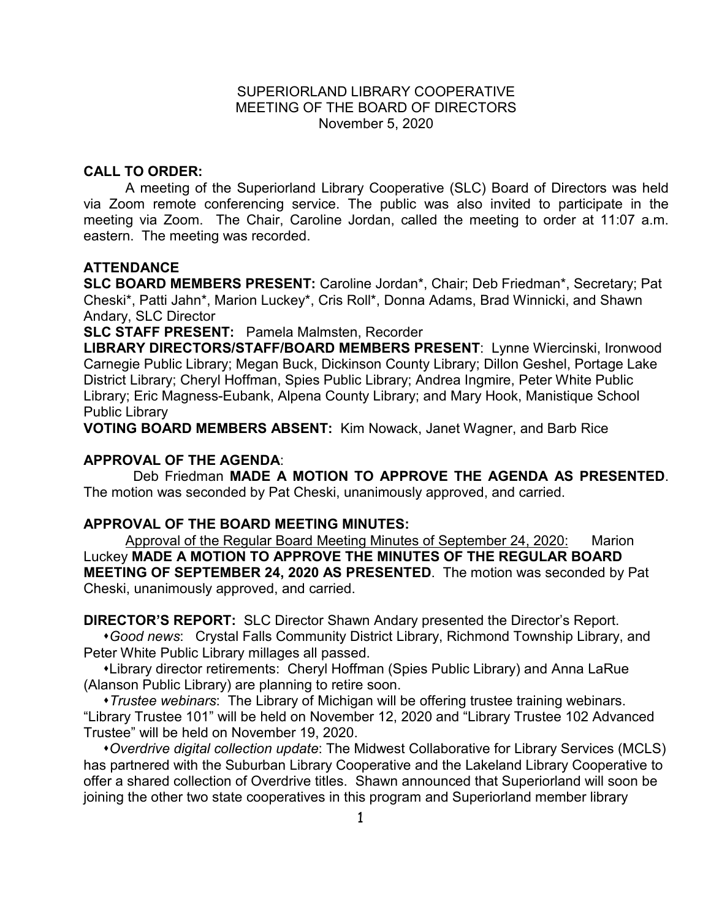## SUPERIORLAND LIBRARY COOPERATIVE MEETING OF THE BOARD OF DIRECTORS November 5, 2020

## **CALL TO ORDER:**

A meeting of the Superiorland Library Cooperative (SLC) Board of Directors was held via Zoom remote conferencing service. The public was also invited to participate in the meeting via Zoom. The Chair, Caroline Jordan, called the meeting to order at 11:07 a.m. eastern. The meeting was recorded.

## **ATTENDANCE**

**SLC BOARD MEMBERS PRESENT:** Caroline Jordan\*, Chair; Deb Friedman\*, Secretary; Pat Cheski\*, Patti Jahn\*, Marion Luckey\*, Cris Roll\*, Donna Adams, Brad Winnicki, and Shawn Andary, SLC Director

**SLC STAFF PRESENT:** Pamela Malmsten, Recorder

**LIBRARY DIRECTORS/STAFF/BOARD MEMBERS PRESENT**: Lynne Wiercinski, Ironwood Carnegie Public Library; Megan Buck, Dickinson County Library; Dillon Geshel, Portage Lake District Library; Cheryl Hoffman, Spies Public Library; Andrea Ingmire, Peter White Public Library; Eric Magness-Eubank, Alpena County Library; and Mary Hook, Manistique School Public Library

**VOTING BOARD MEMBERS ABSENT:** Kim Nowack, Janet Wagner, and Barb Rice

## **APPROVAL OF THE AGENDA**:

Deb Friedman **MADE A MOTION TO APPROVE THE AGENDA AS PRESENTED**. The motion was seconded by Pat Cheski, unanimously approved, and carried.

## **APPROVAL OF THE BOARD MEETING MINUTES:**

Approval of the Regular Board Meeting Minutes of September 24, 2020: Marion Luckey **MADE A MOTION TO APPROVE THE MINUTES OF THE REGULAR BOARD MEETING OF SEPTEMBER 24, 2020 AS PRESENTED**.The motion was seconded by Pat Cheski, unanimously approved, and carried.

**DIRECTOR'S REPORT:** SLC Director Shawn Andary presented the Director's Report.

 *Good news*: Crystal Falls Community District Library, Richmond Township Library, and Peter White Public Library millages all passed.

 Library director retirements: Cheryl Hoffman (Spies Public Library) and Anna LaRue (Alanson Public Library) are planning to retire soon.

 *Trustee webinars*: The Library of Michigan will be offering trustee training webinars. "Library Trustee 101" will be held on November 12, 2020 and "Library Trustee 102 Advanced Trustee" will be held on November 19, 2020.

 *Overdrive digital collection update*: The Midwest Collaborative for Library Services (MCLS) has partnered with the Suburban Library Cooperative and the Lakeland Library Cooperative to offer a shared collection of Overdrive titles. Shawn announced that Superiorland will soon be joining the other two state cooperatives in this program and Superiorland member library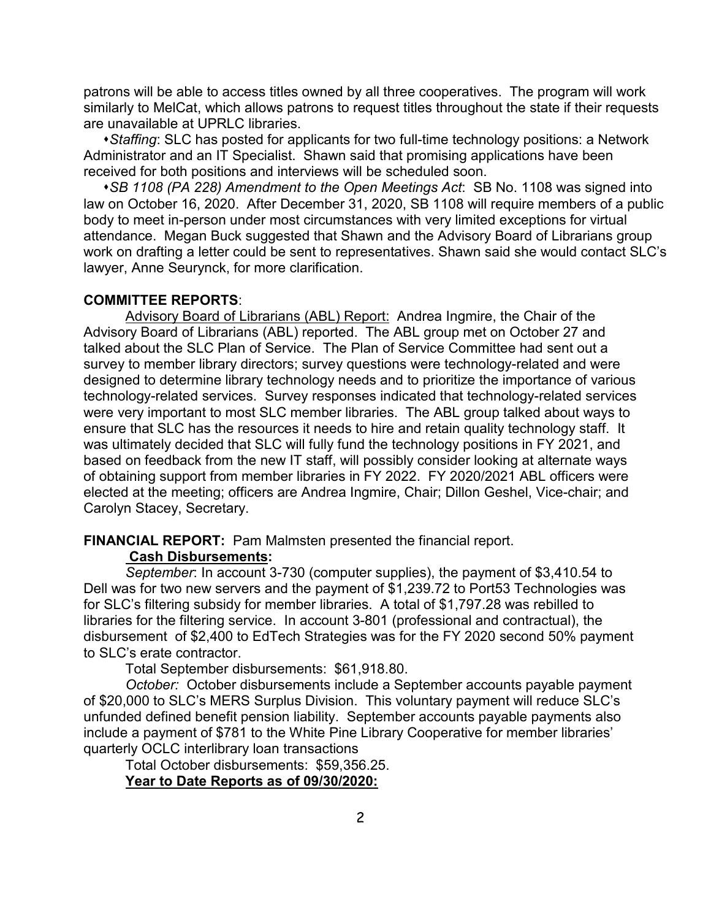patrons will be able to access titles owned by all three cooperatives. The program will work similarly to MelCat, which allows patrons to request titles throughout the state if their requests are unavailable at UPRLC libraries.

 *Staffing*: SLC has posted for applicants for two full-time technology positions: a Network Administrator and an IT Specialist. Shawn said that promising applications have been received for both positions and interviews will be scheduled soon.

 *SB 1108 (PA 228) Amendment to the Open Meetings Act*: SB No. 1108 was signed into law on October 16, 2020. After December 31, 2020, SB 1108 will require members of a public body to meet in-person under most circumstances with very limited exceptions for virtual attendance. Megan Buck suggested that Shawn and the Advisory Board of Librarians group work on drafting a letter could be sent to representatives. Shawn said she would contact SLC's lawyer, Anne Seurynck, for more clarification.

## **COMMITTEE REPORTS**:

Advisory Board of Librarians (ABL) Report: Andrea Ingmire, the Chair of the Advisory Board of Librarians (ABL) reported. The ABL group met on October 27 and talked about the SLC Plan of Service. The Plan of Service Committee had sent out a survey to member library directors; survey questions were technology-related and were designed to determine library technology needs and to prioritize the importance of various technology-related services. Survey responses indicated that technology-related services were very important to most SLC member libraries. The ABL group talked about ways to ensure that SLC has the resources it needs to hire and retain quality technology staff. It was ultimately decided that SLC will fully fund the technology positions in FY 2021, and based on feedback from the new IT staff, will possibly consider looking at alternate ways of obtaining support from member libraries in FY 2022. FY 2020/2021 ABL officers were elected at the meeting; officers are Andrea Ingmire, Chair; Dillon Geshel, Vice-chair; and Carolyn Stacey, Secretary.

#### **FINANCIAL REPORT:** Pam Malmsten presented the financial report.

### **Cash Disbursements:**

*September*: In account 3-730 (computer supplies), the payment of \$3,410.54 to Dell was for two new servers and the payment of \$1,239.72 to Port53 Technologies was for SLC's filtering subsidy for member libraries. A total of \$1,797.28 was rebilled to libraries for the filtering service. In account 3-801 (professional and contractual), the disbursement of \$2,400 to EdTech Strategies was for the FY 2020 second 50% payment to SLC's erate contractor.

Total September disbursements: \$61,918.80.

*October:* October disbursements include a September accounts payable payment of \$20,000 to SLC's MERS Surplus Division. This voluntary payment will reduce SLC's unfunded defined benefit pension liability. September accounts payable payments also include a payment of \$781 to the White Pine Library Cooperative for member libraries' quarterly OCLC interlibrary loan transactions

Total October disbursements: \$59,356.25. **Year to Date Reports as of 09/30/2020:**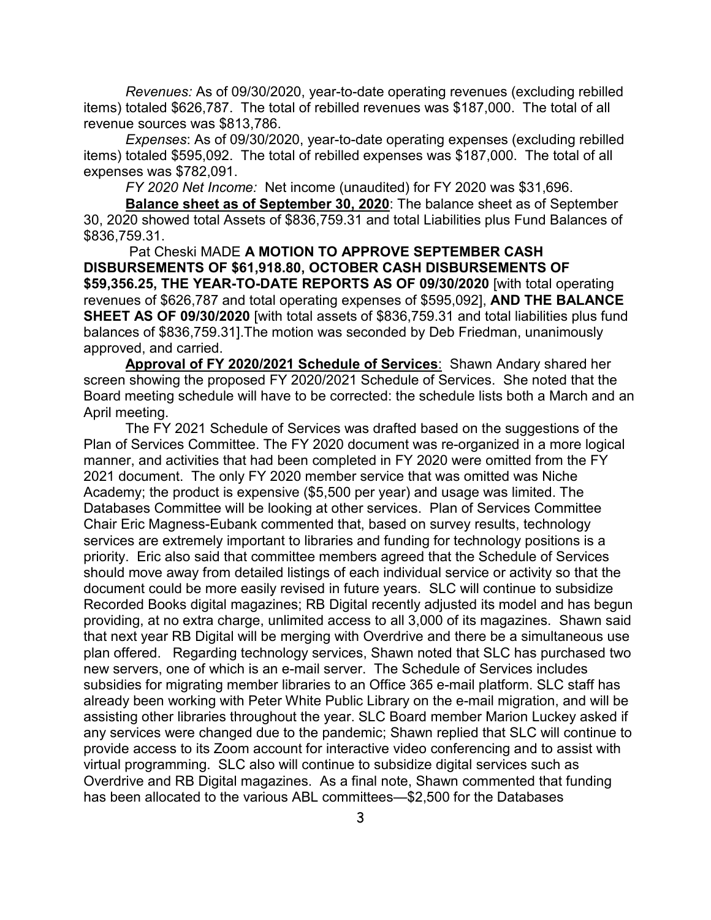*Revenues:* As of 09/30/2020, year-to-date operating revenues (excluding rebilled items) totaled \$626,787. The total of rebilled revenues was \$187,000. The total of all revenue sources was \$813,786.

*Expenses*: As of 09/30/2020, year-to-date operating expenses (excluding rebilled items) totaled \$595,092. The total of rebilled expenses was \$187,000. The total of all expenses was \$782,091.

*FY 2020 Net Income:* Net income (unaudited) for FY 2020 was \$31,696.

**Balance sheet as of September 30, 2020**: The balance sheet as of September 30, 2020 showed total Assets of \$836,759.31 and total Liabilities plus Fund Balances of \$836,759.31.

Pat Cheski MADE **A MOTION TO APPROVE SEPTEMBER CASH DISBURSEMENTS OF \$61,918.80, OCTOBER CASH DISBURSEMENTS OF \$59,356.25, THE YEAR-TO-DATE REPORTS AS OF 09/30/2020** [with total operating revenues of \$626,787 and total operating expenses of \$595,092], **AND THE BALANCE SHEET AS OF 09/30/2020** [with total assets of \$836,759.31 and total liabilities plus fund balances of \$836,759.31].The motion was seconded by Deb Friedman, unanimously approved, and carried.

**Approval of FY 2020/2021 Schedule of Services**: Shawn Andary shared her screen showing the proposed FY 2020/2021 Schedule of Services. She noted that the Board meeting schedule will have to be corrected: the schedule lists both a March and an April meeting.

The FY 2021 Schedule of Services was drafted based on the suggestions of the Plan of Services Committee. The FY 2020 document was re-organized in a more logical manner, and activities that had been completed in FY 2020 were omitted from the FY 2021 document. The only FY 2020 member service that was omitted was Niche Academy; the product is expensive (\$5,500 per year) and usage was limited. The Databases Committee will be looking at other services. Plan of Services Committee Chair Eric Magness-Eubank commented that, based on survey results, technology services are extremely important to libraries and funding for technology positions is a priority. Eric also said that committee members agreed that the Schedule of Services should move away from detailed listings of each individual service or activity so that the document could be more easily revised in future years. SLC will continue to subsidize Recorded Books digital magazines; RB Digital recently adjusted its model and has begun providing, at no extra charge, unlimited access to all 3,000 of its magazines. Shawn said that next year RB Digital will be merging with Overdrive and there be a simultaneous use plan offered. Regarding technology services, Shawn noted that SLC has purchased two new servers, one of which is an e-mail server. The Schedule of Services includes subsidies for migrating member libraries to an Office 365 e-mail platform. SLC staff has already been working with Peter White Public Library on the e-mail migration, and will be assisting other libraries throughout the year. SLC Board member Marion Luckey asked if any services were changed due to the pandemic; Shawn replied that SLC will continue to provide access to its Zoom account for interactive video conferencing and to assist with virtual programming. SLC also will continue to subsidize digital services such as Overdrive and RB Digital magazines. As a final note, Shawn commented that funding has been allocated to the various ABL committees—\$2,500 for the Databases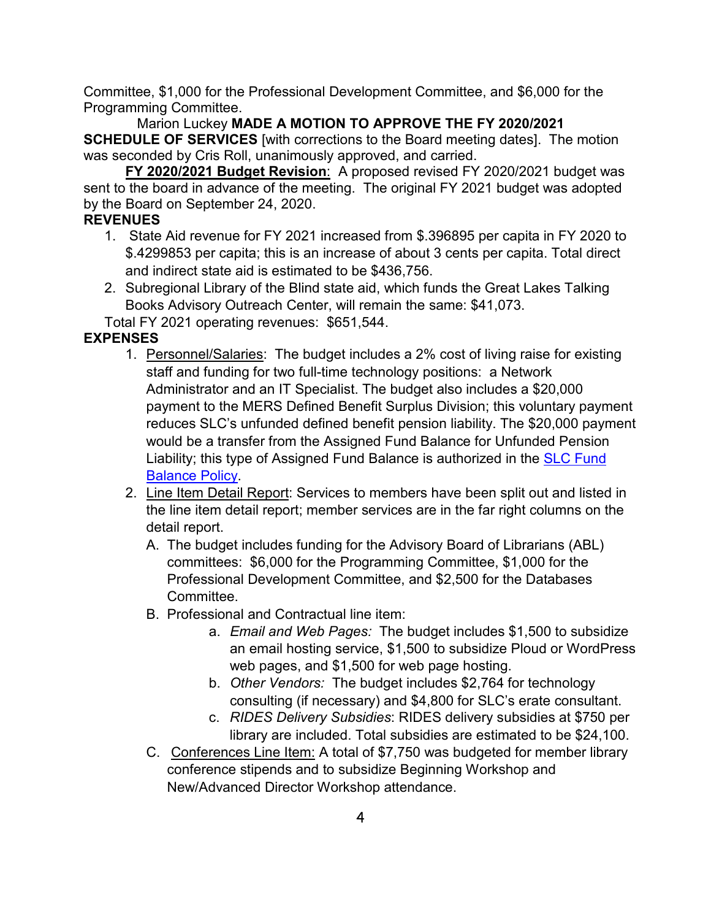Committee, \$1,000 for the Professional Development Committee, and \$6,000 for the Programming Committee.

 Marion Luckey **MADE A MOTION TO APPROVE THE FY 2020/2021 SCHEDULE OF SERVICES** [with corrections to the Board meeting dates]. The motion was seconded by Cris Roll, unanimously approved, and carried.

**FY 2020/2021 Budget Revision**: A proposed revised FY 2020/2021 budget was sent to the board in advance of the meeting. The original FY 2021 budget was adopted by the Board on September 24, 2020.

# **REVENUES**

- 1. State Aid revenue for FY 2021 increased from \$.396895 per capita in FY 2020 to \$.4299853 per capita; this is an increase of about 3 cents per capita. Total direct and indirect state aid is estimated to be \$436,756.
- 2. Subregional Library of the Blind state aid, which funds the Great Lakes Talking Books Advisory Outreach Center, will remain the same: \$41,073.

Total FY 2021 operating revenues: \$651,544.

# **EXPENSES**

- 1. Personnel/Salaries: The budget includes a 2% cost of living raise for existing staff and funding for two full-time technology positions: a Network Administrator and an IT Specialist. The budget also includes a \$20,000 payment to the MERS Defined Benefit Surplus Division; this voluntary payment reduces SLC's unfunded defined benefit pension liability. The \$20,000 payment would be a transfer from the Assigned Fund Balance for Unfunded Pension Liability; this type of Assigned Fund Balance is authorized in the [SLC Fund](http://joomla.uproc.lib.mi.us/SLC/images/pdf_files/fundbalpolicy063017.pdf)  [Balance Policy.](http://joomla.uproc.lib.mi.us/SLC/images/pdf_files/fundbalpolicy063017.pdf)
- 2. Line Item Detail Report: Services to members have been split out and listed in the line item detail report; member services are in the far right columns on the detail report.
	- A. The budget includes funding for the Advisory Board of Librarians (ABL) committees: \$6,000 for the Programming Committee, \$1,000 for the Professional Development Committee, and \$2,500 for the Databases Committee.
	- B. Professional and Contractual line item:
		- a. *Email and Web Pages:* The budget includes \$1,500 to subsidize an email hosting service, \$1,500 to subsidize Ploud or WordPress web pages, and \$1,500 for web page hosting.
		- b. *Other Vendors:* The budget includes \$2,764 for technology consulting (if necessary) and \$4,800 for SLC's erate consultant.
		- c. *RIDES Delivery Subsidies*: RIDES delivery subsidies at \$750 per library are included. Total subsidies are estimated to be \$24,100.
	- C. Conferences Line Item: A total of \$7,750 was budgeted for member library conference stipends and to subsidize Beginning Workshop and New/Advanced Director Workshop attendance.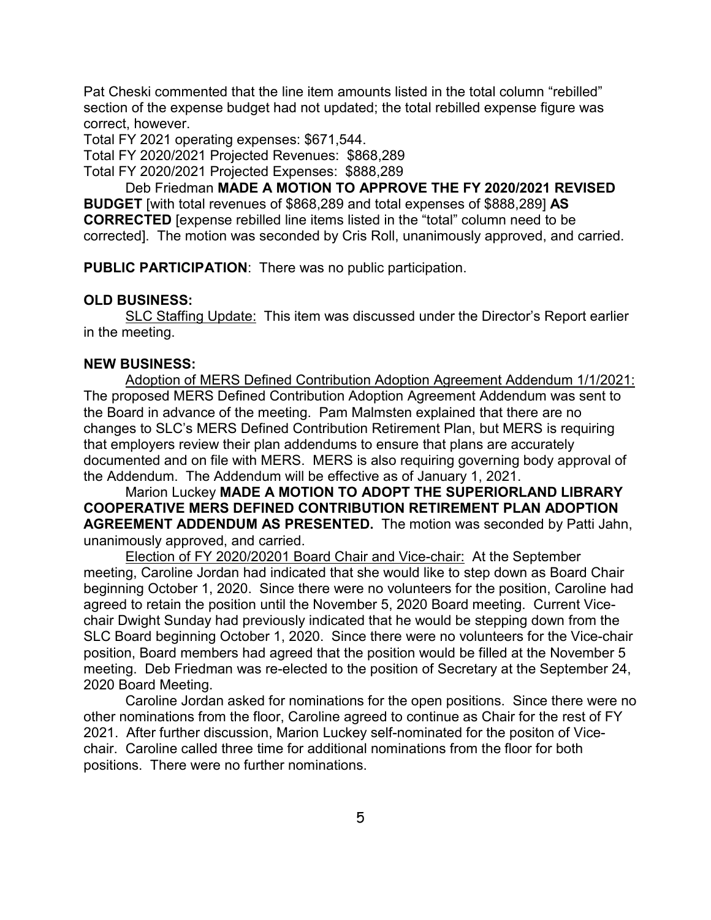Pat Cheski commented that the line item amounts listed in the total column "rebilled" section of the expense budget had not updated; the total rebilled expense figure was correct, however.

Total FY 2021 operating expenses: \$671,544.

Total FY 2020/2021 Projected Revenues: \$868,289

Total FY 2020/2021 Projected Expenses: \$888,289

Deb Friedman **MADE A MOTION TO APPROVE THE FY 2020/2021 REVISED BUDGET** [with total revenues of \$868,289 and total expenses of \$888,289] **AS CORRECTED** [expense rebilled line items listed in the "total" column need to be corrected]. The motion was seconded by Cris Roll, unanimously approved, and carried.

**PUBLIC PARTICIPATION**: There was no public participation.

### **OLD BUSINESS:**

SLC Staffing Update: This item was discussed under the Director's Report earlier in the meeting.

### **NEW BUSINESS:**

Adoption of MERS Defined Contribution Adoption Agreement Addendum 1/1/2021: The proposed MERS Defined Contribution Adoption Agreement Addendum was sent to the Board in advance of the meeting. Pam Malmsten explained that there are no changes to SLC's MERS Defined Contribution Retirement Plan, but MERS is requiring that employers review their plan addendums to ensure that plans are accurately documented and on file with MERS. MERS is also requiring governing body approval of the Addendum. The Addendum will be effective as of January 1, 2021.

Marion Luckey **MADE A MOTION TO ADOPT THE SUPERIORLAND LIBRARY COOPERATIVE MERS DEFINED CONTRIBUTION RETIREMENT PLAN ADOPTION AGREEMENT ADDENDUM AS PRESENTED.** The motion was seconded by Patti Jahn, unanimously approved, and carried.

Election of FY 2020/20201 Board Chair and Vice-chair: At the September meeting, Caroline Jordan had indicated that she would like to step down as Board Chair beginning October 1, 2020. Since there were no volunteers for the position, Caroline had agreed to retain the position until the November 5, 2020 Board meeting. Current Vicechair Dwight Sunday had previously indicated that he would be stepping down from the SLC Board beginning October 1, 2020. Since there were no volunteers for the Vice-chair position, Board members had agreed that the position would be filled at the November 5 meeting. Deb Friedman was re-elected to the position of Secretary at the September 24, 2020 Board Meeting.

Caroline Jordan asked for nominations for the open positions. Since there were no other nominations from the floor, Caroline agreed to continue as Chair for the rest of FY 2021. After further discussion, Marion Luckey self-nominated for the positon of Vicechair. Caroline called three time for additional nominations from the floor for both positions. There were no further nominations.